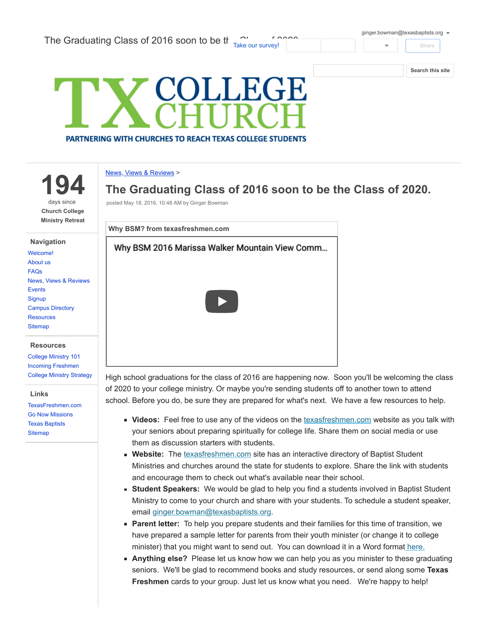[ginger.bowman@texasbaptists.org](https://accounts.google.com/SignOutOptions?hl=en&continue=https://sites.google.com/site/txcollegechurch/blog/thegraduatingclassof2016soontobetheclassof2020&service=jotspot)

Share

[Search](https://sites.google.com/site/txcollegechurch/) this site



194

days since Church College Ministry Retreat

## Navigation

| Welcome!                         |
|----------------------------------|
| About us                         |
| <b>FAQs</b>                      |
| <b>News, Views &amp; Reviews</b> |
| <b>Events</b>                    |
| Signup                           |
| <b>Campus Directory</b>          |
| <b>Resources</b>                 |
| <b>Sitemap</b>                   |
|                                  |

## **Resources**

[College Ministry 101](https://sites.google.com/site/txcollegechurch/resources/college-ministry-essentials) [Incoming Freshmen](https://sites.google.com/site/txcollegechurch/resources/incoming-freshmen) [College Ministry Strategy](https://sites.google.com/site/txcollegechurch/resources/college-ministry-strategy)

## Links

[TexasFreshmen.com](http://texasfreshmen.com/) [Go Now Missions](http://www.gonowmissions.com/) [Texas Baptists](http://www.texasbaptists.org/) **[Sitemap](https://sites.google.com/site/txcollegechurch/system/app/pages/sitemap/hierarchy)** 

## News, Views & [Reviews](https://sites.google.com/site/txcollegechurch/blog) >

The Graduating Class of 2016 soon to be the Class of 2020.

posted May 18, 2016, 10:48 AM by Ginger Bowman



High school graduations for the class of 2016 are happening now. Soon you'll be welcoming the class of 2020 to your college ministry. Or maybe you're sending students off to another town to attend school. Before you do, be sure they are prepared for what's next. We have a few resources to help.

- **Videos:** Feel free to use any of the videos on the [texasfreshmen.com](http://texasfreshmen.com/) website as you talk with your seniors about preparing spiritually for college life. Share them on social media or use them as discussion starters with students.
- **Website:** The [texasfreshmen.com](http://texasfreshmen.com/) site has an interactive directory of Baptist Student Ministries and churches around the state for students to explore. Share the link with students and encourage them to check out what's available near their school.
- **Student Speakers:** We would be glad to help you find a students involved in Baptist Student Ministry to come to your church and share with your students. To schedule a student speaker, email [ginger.bowman@texasbaptists.org.](mailto:ginger.bowman@texasbaptists.org)
- **Parent letter:** To help you prepare students and their families for this time of transition, we have prepared a sample letter for parents from their youth minister (or change it to college minister) that you might want to send out. You can download it in a Word forma[t here.](https://docs.google.com/a/texasbaptists.org/viewer?a=v&pid=sites&srcid=ZGVmYXVsdGRvbWFpbnx0eGNvbGxlZ2VjaHVyY2h8Z3g6NTAzZGYxMjFiZGMwYTg2Yg)
- **Anything else?** Please let us know how we can help you as you minister to these graduating seniors. We'll be glad to recommend books and study resources, or send along some Texas Freshmen cards to your group. Just let us know what you need. We're happy to help!